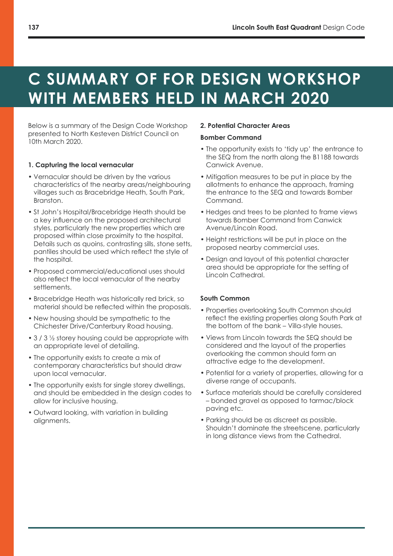# **C SUMMARY OF FOR DESIGN WORKSHOP WITH MEMBERS HELD IN MARCH 2020**

Below is a summary of the Design Code Workshop presented to North Kesteven District Council on 10th March 2020.

# **1. Capturing the local vernacular**

- Vernacular should be driven by the various characteristics of the nearby areas/neighbouring villages such as Bracebridge Heath, South Park, Branston.
- St John's Hospital/Bracebridge Heath should be a key influence on the proposed architectural styles, particularly the new properties which are proposed within close proximity to the hospital. Details such as quoins, contrasting sills, stone setts, pantiles should be used which reflect the style of the hospital.
- Proposed commercial/educational uses should also reflect the local vernacular of the nearby settlements.
- Bracebridge Heath was historically red brick, so material should be reflected within the proposals.
- New housing should be sympathetic to the Chichester Drive/Canterbury Road housing.
- 3 / 3 1/2 storey housing could be appropriate with an appropriate level of detailing.
- The opportunity exists to create a mix of contemporary characteristics but should draw upon local vernacular.
- The opportunity exists for single storey dwellings, and should be embedded in the design codes to allow for inclusive housing.
- Outward looking, with variation in building alignments.

## **2. Potential Character Areas**

## **Bomber Command**

- The opportunity exists to 'tidy up' the entrance to the SEQ from the north along the B1188 towards Canwick Avenue.
- Mitigation measures to be put in place by the allotments to enhance the approach, framing the entrance to the SEQ and towards Bomber Command.
- Hedges and trees to be planted to frame views towards Bomber Command from Canwick Avenue/Lincoln Road.
- Height restrictions will be put in place on the proposed nearby commercial uses.
- Design and layout of this potential character area should be appropriate for the setting of Lincoln Cathedral.

# **South Common**

- Properties overlooking South Common should reflect the existing properties along South Park at the bottom of the bank – Villa-style houses.
- Views from Lincoln towards the SEQ should be considered and the layout of the properties overlooking the common should form an attractive edge to the development.
- Potential for a variety of properties, allowing for a diverse range of occupants.
- Surface materials should be carefully considered – bonded gravel as opposed to tarmac/block paving etc.
- Parking should be as discreet as possible. Shouldn't dominate the streetscene, particularly in long distance views from the Cathedral.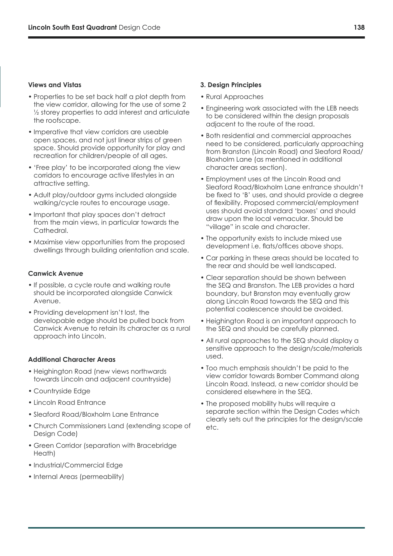## **Views and Vistas**

- Properties to be set back half a plot depth from the view corridor, allowing for the use of some 2 ½ storey properties to add interest and articulate the roofscape.
- Imperative that view corridors are useable open spaces, and not just linear strips of green space. Should provide opportunity for play and recreation for children/people of all ages.
- 'Free play' to be incorporated along the view corridors to encourage active lifestyles in an attractive setting.
- Adult play/outdoor gyms included alongside walking/cycle routes to encourage usage.
- Important that play spaces don't detract from the main views, in particular towards the Cathedral.
- Maximise view opportunities from the proposed dwellings through building orientation and scale.

# **Canwick Avenue**

- If possible, a cycle route and walking route should be incorporated alongside Canwick Avenue.
- Providing development isn't lost, the developable edge should be pulled back from Canwick Avenue to retain its character as a rural approach into Lincoln.

### **Additional Character Areas**

- Heighington Road (new views northwards towards Lincoln and adjacent countryside)
- Countryside Edge
- Lincoln Road Entrance
- Sleaford Road/Bloxholm Lane Entrance
- Church Commissioners Land (extending scope of Design Code)
- Green Corridor (separation with Bracebridge Heath)
- Industrial/Commercial Edge
- Internal Areas (permeability)

#### **3. Design Principles**

- Rural Approaches
- Engineering work associated with the LEB needs to be considered within the design proposals adjacent to the route of the road.
- Both residential and commercial approaches need to be considered, particularly approaching from Branston (Lincoln Road) and Sleaford Road/ Bloxholm Lane (as mentioned in additional character areas section).
- Employment uses at the Lincoln Road and Sleaford Road/Bloxholm Lane entrance shouldn't be fixed to 'B' uses, and should provide a degree of flexibility. Proposed commercial/employment uses should avoid standard 'boxes' and should draw upon the local vernacular. Should be "village" in scale and character.
- The opportunity exists to include mixed use development i.e. flats/offices above shops.
- Car parking in these areas should be located to the rear and should be well landscaped.
- Clear separation should be shown between the SEQ and Branston. The LEB provides a hard boundary, but Branston may eventually grow along Lincoln Road towards the SEQ and this potential coalescence should be avoided.
- Heighington Road is an important approach to the SEQ and should be carefully planned.
- All rural approaches to the SEQ should display a sensitive approach to the design/scale/materials used.
- Too much emphasis shouldn't be paid to the view corridor towards Bomber Command along Lincoln Road. Instead, a new corridor should be considered elsewhere in the SEQ.
- The proposed mobility hubs will require a separate section within the Design Codes which clearly sets out the principles for the design/scale etc.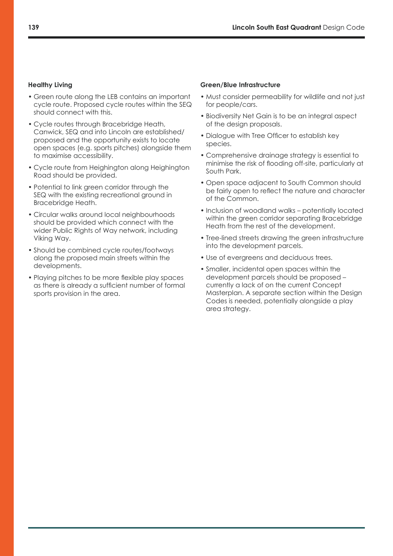# **Healthy Living**

- Green route along the LEB contains an important cycle route. Proposed cycle routes within the SEQ should connect with this.
- Cycle routes through Bracebridge Heath, Canwick, SEQ and into Lincoln are established/ proposed and the opportunity exists to locate open spaces (e.g. sports pitches) alongside them to maximise accessibility.
- Cycle route from Heighington along Heighington Road should be provided.
- Potential to link green corridor through the SEQ with the existing recreational ground in Bracebridge Heath.
- Circular walks around local neighbourhoods should be provided which connect with the wider Public Rights of Way network, including Viking Way.
- Should be combined cycle routes/footways along the proposed main streets within the developments.
- Playing pitches to be more flexible play spaces as there is already a sufficient number of formal sports provision in the area.

#### **Green/Blue Infrastructure**

- Must consider permeability for wildlife and not just for people/cars.
- Biodiversity Net Gain is to be an integral aspect of the design proposals.
- Dialogue with Tree Officer to establish key species.
- Comprehensive drainage strategy is essential to minimise the risk of flooding off-site, particularly at South Park.
- Open space adjacent to South Common should be fairly open to reflect the nature and character of the Common.
- Inclusion of woodland walks potentially located within the green corridor separating Bracebridge Heath from the rest of the development.
- Tree-lined streets drawing the green infrastructure into the development parcels.
- Use of evergreens and deciduous trees.
- Smaller, incidental open spaces within the development parcels should be proposed – currently a lack of on the current Concept Masterplan. A separate section within the Design Codes is needed, potentially alongside a play area strategy.